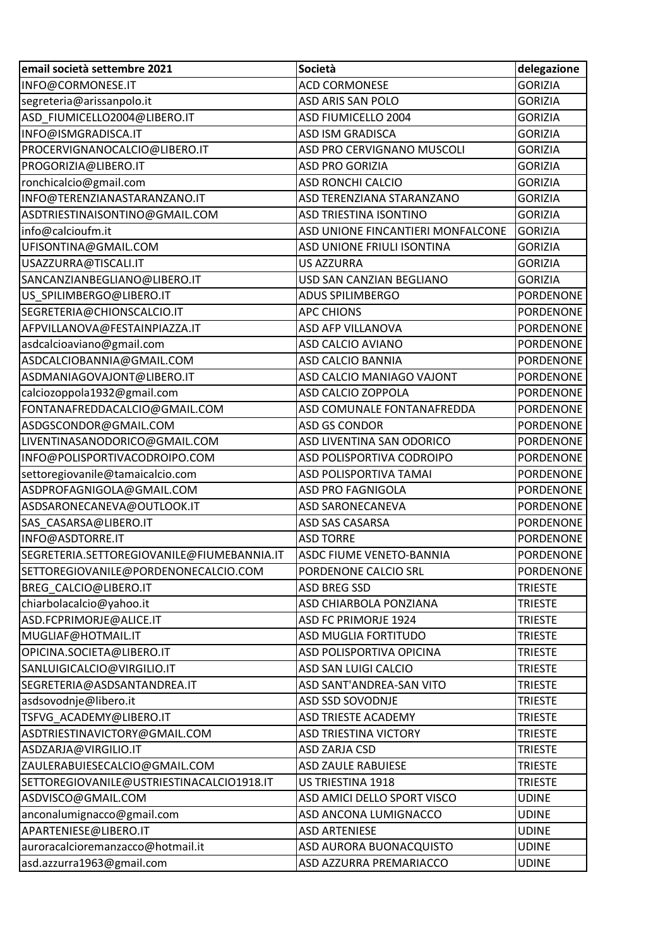| email società settembre 2021               | Società                           | delegazione      |
|--------------------------------------------|-----------------------------------|------------------|
| INFO@CORMONESE.IT                          | <b>ACD CORMONESE</b>              | <b>GORIZIA</b>   |
| segreteria@arissanpolo.it                  | <b>ASD ARIS SAN POLO</b>          | <b>GORIZIA</b>   |
| ASD FIUMICELLO2004@LIBERO.IT               | ASD FIUMICELLO 2004               | <b>GORIZIA</b>   |
| INFO@ISMGRADISCA.IT                        | <b>ASD ISM GRADISCA</b>           | <b>GORIZIA</b>   |
| PROCERVIGNANOCALCIO@LIBERO.IT              | ASD PRO CERVIGNANO MUSCOLI        | <b>GORIZIA</b>   |
| PROGORIZIA@LIBERO.IT                       | <b>ASD PRO GORIZIA</b>            | <b>GORIZIA</b>   |
| ronchicalcio@gmail.com                     | <b>ASD RONCHI CALCIO</b>          | <b>GORIZIA</b>   |
| INFO@TERENZIANASTARANZANO.IT               | ASD TERENZIANA STARANZANO         | <b>GORIZIA</b>   |
| ASDTRIESTINAISONTINO@GMAIL.COM             | <b>ASD TRIESTINA ISONTINO</b>     | <b>GORIZIA</b>   |
| info@calcioufm.it                          | ASD UNIONE FINCANTIERI MONFALCONE | <b>GORIZIA</b>   |
| UFISONTINA@GMAIL.COM                       | ASD UNIONE FRIULI ISONTINA        | <b>GORIZIA</b>   |
| USAZZURRA@TISCALI.IT                       | <b>US AZZURRA</b>                 | <b>GORIZIA</b>   |
| SANCANZIANBEGLIANO@LIBERO.IT               | USD SAN CANZIAN BEGLIANO          | <b>GORIZIA</b>   |
| US SPILIMBERGO@LIBERO.IT                   | <b>ADUS SPILIMBERGO</b>           | <b>PORDENONE</b> |
| SEGRETERIA@CHIONSCALCIO.IT                 | <b>APC CHIONS</b>                 | <b>PORDENONE</b> |
| AFPVILLANOVA@FESTAINPIAZZA.IT              | <b>ASD AFP VILLANOVA</b>          | <b>PORDENONE</b> |
| asdcalcioaviano@gmail.com                  | <b>ASD CALCIO AVIANO</b>          | <b>PORDENONE</b> |
| ASDCALCIOBANNIA@GMAIL.COM                  | <b>ASD CALCIO BANNIA</b>          | <b>PORDENONE</b> |
| ASDMANIAGOVAJONT@LIBERO.IT                 | ASD CALCIO MANIAGO VAJONT         | <b>PORDENONE</b> |
| calciozoppola1932@gmail.com                | ASD CALCIO ZOPPOLA                | <b>PORDENONE</b> |
| FONTANAFREDDACALCIO@GMAIL.COM              | ASD COMUNALE FONTANAFREDDA        | <b>PORDENONE</b> |
| ASDGSCONDOR@GMAIL.COM                      | <b>ASD GS CONDOR</b>              | <b>PORDENONE</b> |
| LIVENTINASANODORICO@GMAIL.COM              | ASD LIVENTINA SAN ODORICO         | <b>PORDENONE</b> |
| INFO@POLISPORTIVACODROIPO.COM              | ASD POLISPORTIVA CODROIPO         | <b>PORDENONE</b> |
| settoregiovanile@tamaicalcio.com           | ASD POLISPORTIVA TAMAI            | <b>PORDENONE</b> |
| ASDPROFAGNIGOLA@GMAIL.COM                  | <b>ASD PRO FAGNIGOLA</b>          | <b>PORDENONE</b> |
| ASDSARONECANEVA@OUTLOOK.IT                 | <b>ASD SARONECANEVA</b>           | <b>PORDENONE</b> |
| SAS_CASARSA@LIBERO.IT                      | <b>ASD SAS CASARSA</b>            | <b>PORDENONE</b> |
| INFO@ASDTORRE.IT                           | <b>ASD TORRE</b>                  | <b>PORDENONE</b> |
| SEGRETERIA.SETTOREGIOVANILE@FIUMEBANNIA.IT | ASDC FIUME VENETO-BANNIA          | PORDENONE        |
| SETTOREGIOVANILE@PORDENONECALCIO.COM       | PORDENONE CALCIO SRL              | <b>PORDENONE</b> |
| <b>BREG CALCIO@LIBERO.IT</b>               | <b>ASD BREG SSD</b>               | <b>TRIESTE</b>   |
| chiarbolacalcio@yahoo.it                   | ASD CHIARBOLA PONZIANA            | <b>TRIESTE</b>   |
| ASD.FCPRIMORJE@ALICE.IT                    | ASD FC PRIMORJE 1924              | <b>TRIESTE</b>   |
| MUGLIAF@HOTMAIL.IT                         | <b>ASD MUGLIA FORTITUDO</b>       | <b>TRIESTE</b>   |
| OPICINA.SOCIETA@LIBERO.IT                  | ASD POLISPORTIVA OPICINA          | <b>TRIESTE</b>   |
| SANLUIGICALCIO@VIRGILIO.IT                 | ASD SAN LUIGI CALCIO              | <b>TRIESTE</b>   |
| SEGRETERIA@ASDSANTANDREA.IT                | ASD SANT'ANDREA-SAN VITO          | <b>TRIESTE</b>   |
| asdsovodnje@libero.it                      | ASD SSD SOVODNJE                  | <b>TRIESTE</b>   |
| TSFVG ACADEMY@LIBERO.IT                    | <b>ASD TRIESTE ACADEMY</b>        | <b>TRIESTE</b>   |
| ASDTRIESTINAVICTORY@GMAIL.COM              | <b>ASD TRIESTINA VICTORY</b>      | <b>TRIESTE</b>   |
| ASDZARJA@VIRGILIO.IT                       | ASD ZARJA CSD                     | <b>TRIESTE</b>   |
| ZAULERABUIESECALCIO@GMAIL.COM              | <b>ASD ZAULE RABUIESE</b>         | <b>TRIESTE</b>   |
| SETTOREGIOVANILE@USTRIESTINACALCIO1918.IT  | US TRIESTINA 1918                 | <b>TRIESTE</b>   |
| ASDVISCO@GMAIL.COM                         | ASD AMICI DELLO SPORT VISCO       | <b>UDINE</b>     |
| anconalumignacco@gmail.com                 | ASD ANCONA LUMIGNACCO             | <b>UDINE</b>     |
| APARTENIESE@LIBERO.IT                      | <b>ASD ARTENIESE</b>              | <b>UDINE</b>     |
| auroracalcioremanzacco@hotmail.it          | ASD AURORA BUONACQUISTO           | <b>UDINE</b>     |
| asd.azzurra1963@gmail.com                  | ASD AZZURRA PREMARIACCO           | <b>UDINE</b>     |